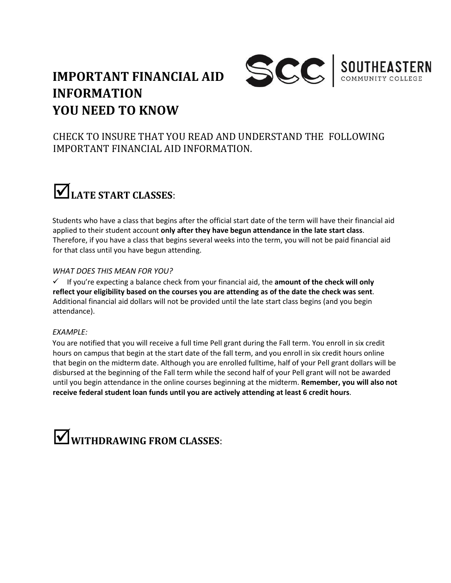### **IMPORTANT FINANCIAL AID INFORMATION YOU NEED TO KNOW**



#### CHECK TO INSURE THAT YOU READ AND UNDERSTAND THE FOLLOWING IMPORTANT FINANCIAL AID INFORMATION.

# **LATE START CLASSES**:

Students who have a class that begins after the official start date of the term will have their financial aid applied to their student account **only after they have begun attendance in the late start class**. Therefore, if you have a class that begins several weeks into the term, you will not be paid financial aid for that class until you have begun attending.

#### *WHAT DOES THIS MEAN FOR YOU?*

 $\checkmark$  If you're expecting a balance check from your financial aid, the **amount of the check will only reflect your eligibility based on the courses you are attending as of the date the check was sent**. Additional financial aid dollars will not be provided until the late start class begins (and you begin attendance).

#### *EXAMPLE:*

You are notified that you will receive a full time Pell grant during the Fall term. You enroll in six credit hours on campus that begin at the start date of the fall term, and you enroll in six credit hours online that begin on the midterm date. Although you are enrolled fulltime, half of your Pell grant dollars will be disbursed at the beginning of the Fall term while the second half of your Pell grant will not be awarded until you begin attendance in the online courses beginning at the midterm. **Remember, you will also not receive federal student loan funds until you are actively attending at least 6 credit hours**.

## **WITHDRAWING FROM CLASSES**: